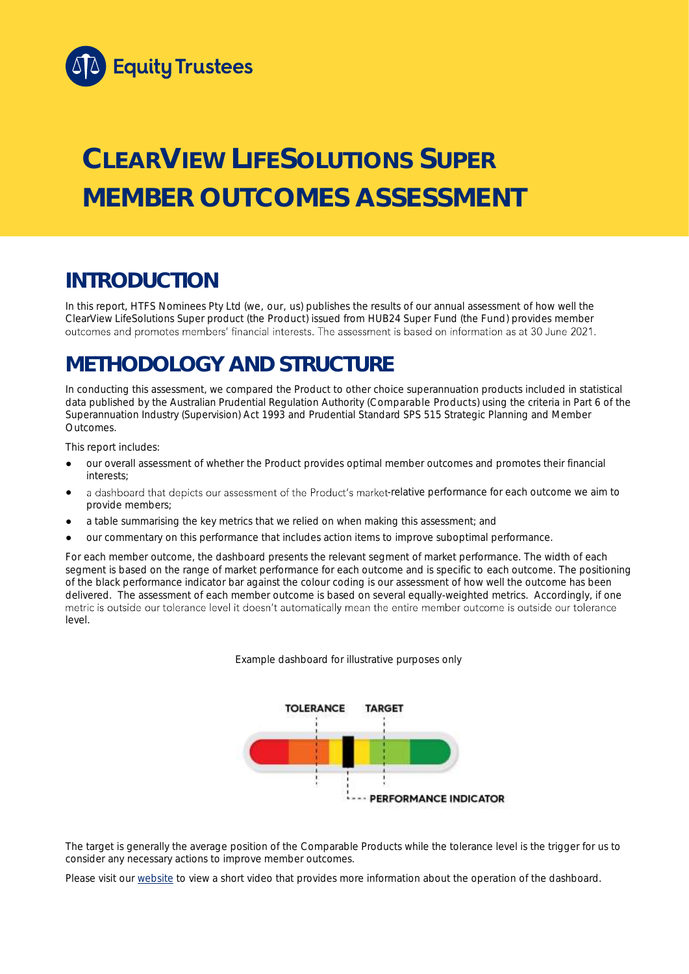

# **CLEARVIEW LIFESOLUTIONS SUPER MEMBER OUTCOMES ASSESSMENT**

## **INTRODUCTION**

In this report, HTFS Nominees Pty Ltd (we, our, us) publishes the results of our annual assessment of how well the ClearView LifeSolutions Super product (the Product) issued from HUB24 Super Fund (the Fund) provides member outcomes and promotes members' financial interests. The assessment is based on information as at 30 June 2021.

## **METHODOLOGY AND STRUCTURE**

In conducting this assessment, we compared the Product to other choice superannuation products included in statistical data published by the Australian Prudential Regulation Authority (Comparable Products) using the criteria in Part 6 of the *Superannuation Industry (Supervision) Act 1993* and Prudential Standard SPS 515 *Strategic Planning and Member Outcomes*.

This report includes:

- our overall assessment of whether the Product provides optimal member outcomes and promotes their financial interests;
- a dashboard that depicts our assessment of the Product's market-relative performance for each outcome we aim to provide members;
- a table summarising the key metrics that we relied on when making this assessment; and
- our commentary on this performance that includes action items to improve suboptimal performance.

For each member outcome, the dashboard presents the relevant segment of market performance. The width of each segment is based on the range of market performance for each outcome and is specific to each outcome. The positioning of the black performance indicator bar against the colour coding is our assessment of how well the outcome has been delivered. The assessment of each member outcome is based on several equally-weighted metrics. Accordingly, if one<br>metric is outside our tolerance level it doesn't automatically mean the entire member outcome is outside ou level.

*Example dashboard for illustrative purposes only*



The target is generally the average position of the Comparable Products while the tolerance level is the trigger for us to consider any necessary actions to improve member outcomes.

Please visit our [website](https://www.eqt.com.au/superannuation) to view a short video that provides more information about the operation of the dashboard.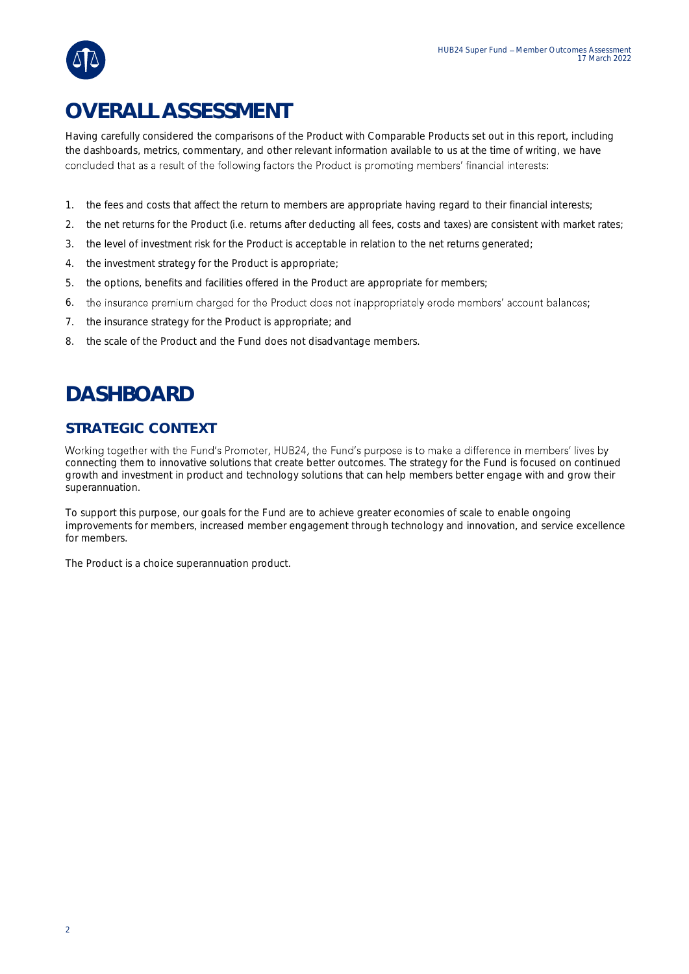

## **OVERALL ASSESSMENT**

Having carefully considered the comparisons of the Product with Comparable Products set out in this report, including the dashboards, metrics, commentary, and other relevant information available to us at the time of writing, we have concluded that as a result of the following factors the Product is promoting members' financial interests:

- 1. the fees and costs that affect the return to members are appropriate having regard to their financial interests;
- 2. the net returns for the Product (i.e. returns after deducting all fees, costs and taxes) are consistent with market rates;
- 3. the level of investment risk for the Product is acceptable in relation to the net returns generated;
- 4. the investment strategy for the Product is appropriate;
- 5. the options, benefits and facilities offered in the Product are appropriate for members;
- 6. the insurance premium charged for the Product does not inappropriately erode members' account balances;
- 7. the insurance strategy for the Product is appropriate; and
- 8. the scale of the Product and the Fund does not disadvantage members.

## **DASHBOARD**

## **STRATEGIC CONTEXT**

Working together with the Fund's Promoter, HUB24, the Fund's purpose is to make a difference in members' lives by connecting them to innovative solutions that create better outcomes. The strategy for the Fund is focused on continued growth and investment in product and technology solutions that can help members better engage with and grow their superannuation.

To support this purpose, our goals for the Fund are to achieve greater economies of scale to enable ongoing improvements for members, increased member engagement through technology and innovation, and service excellence for members.

The Product is a choice superannuation product.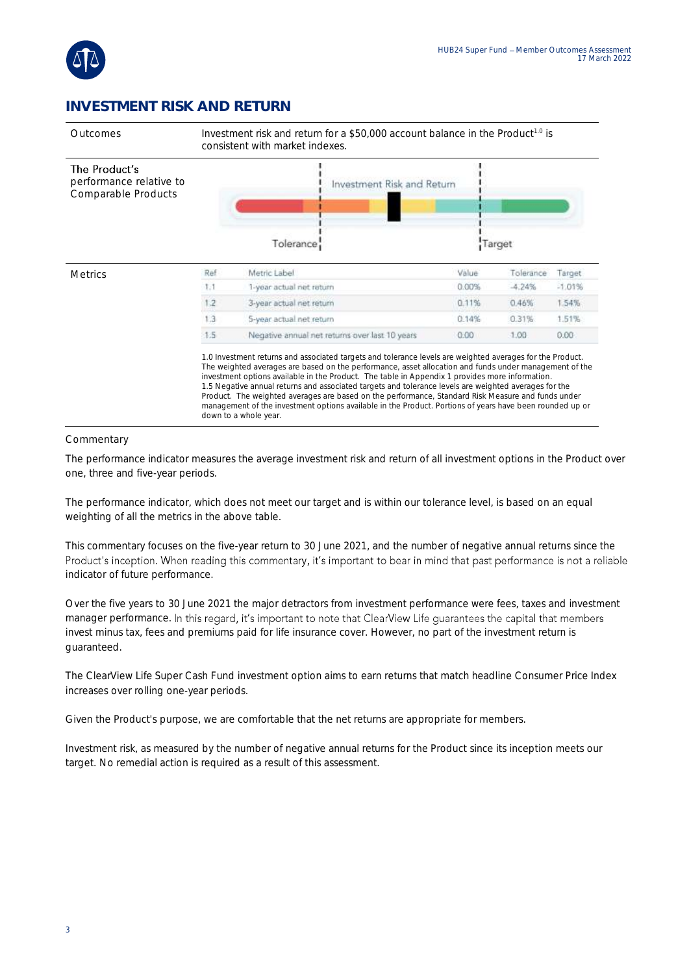

### **INVESTMENT RISK AND RETURN**



#### **Commentary**

The performance indicator measures the average investment risk and return of all investment options in the Product over one, three and five-year periods.

The performance indicator, which does not meet our target and is within our tolerance level, is based on an equal weighting of all the metrics in the above table.

This commentary focuses on the five-year return to 30 June 2021, and the number of negative annual returns since the Product's inception. When reading this commentary, it's important to bear in mind that past performance is not a reliable indicator of future performance.

Over the five years to 30 June 2021 the major detractors from investment performance were fees, taxes and investment manager performance. In this regard, it's important to note that ClearView Life quarantees the capital that members invest minus tax, fees and premiums paid for life insurance cover. However, no part of the investment return is guaranteed.

The ClearView Life Super Cash Fund investment option aims to earn returns that match headline Consumer Price Index increases over rolling one-year periods.

Given the Product's purpose, we are comfortable that the net returns are appropriate for members.

Investment risk, as measured by the number of negative annual returns for the Product since its inception meets our target. No remedial action is required as a result of this assessment.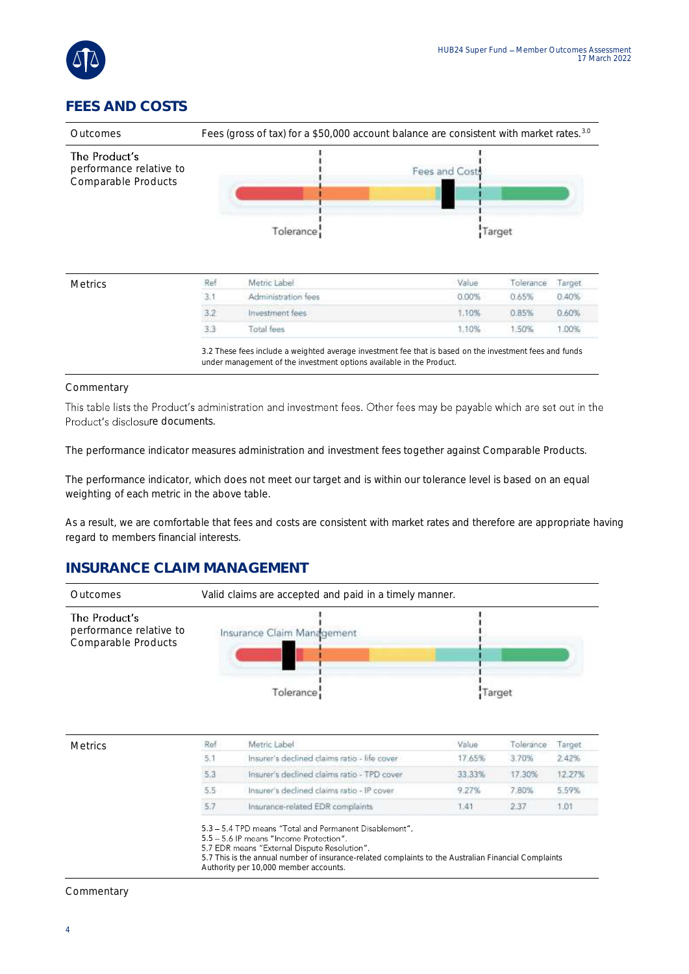

## **FEES AND COSTS**



 $3.2$ 0.85% 0.60% **Investment** fees 1.10% 33 **Total** fees 1.10%  $1.50%$ 1.00%

3.2 These fees include a weighted average investment fee that is based on the investment fees and funds under management of the investment options available in the Product.

#### Commentary

This table lists the Product's administration and investment fees. Other fees may be payable which are set out in the Product's disclosure documents.

The performance indicator measures administration and investment fees together against Comparable Products.

The performance indicator, which does not meet our target and is within our tolerance level is based on an equal weighting of each metric in the above table.

As a result, we are comfortable that fees and costs are consistent with market rates and therefore are appropriate having regard to members financial interests.

### **INSURANCE CLAIM MANAGEMENT**



| <b>Metrics</b> | Ref | Metric Label                                 | Value  | Tolerance | Target. |
|----------------|-----|----------------------------------------------|--------|-----------|---------|
|                | 5.1 | Insurer's declined claims ratio - life cover | 17.65% | 3.70%     | 2.42%   |
|                | 5.3 | Insurer's declined claims ratio - TPD cover. | 33,33% | 17.30%    | 12.27%  |
|                | 5.5 | Insurer's declined claims ratio - IP cover   | 9.27%  | 7.80%     | 5.59%   |
|                | 5.7 | Insurance-related EDR complaints             | 1.41   | 2.37      | 1.01    |

5.6 IP means "Income Protection" 5.7 EDR means "External Dispute Resolution".

5.7 This is the annual number of insurance-related complaints to the Australian Financial Complaints

Authority per 10,000 member accounts.

#### Commentary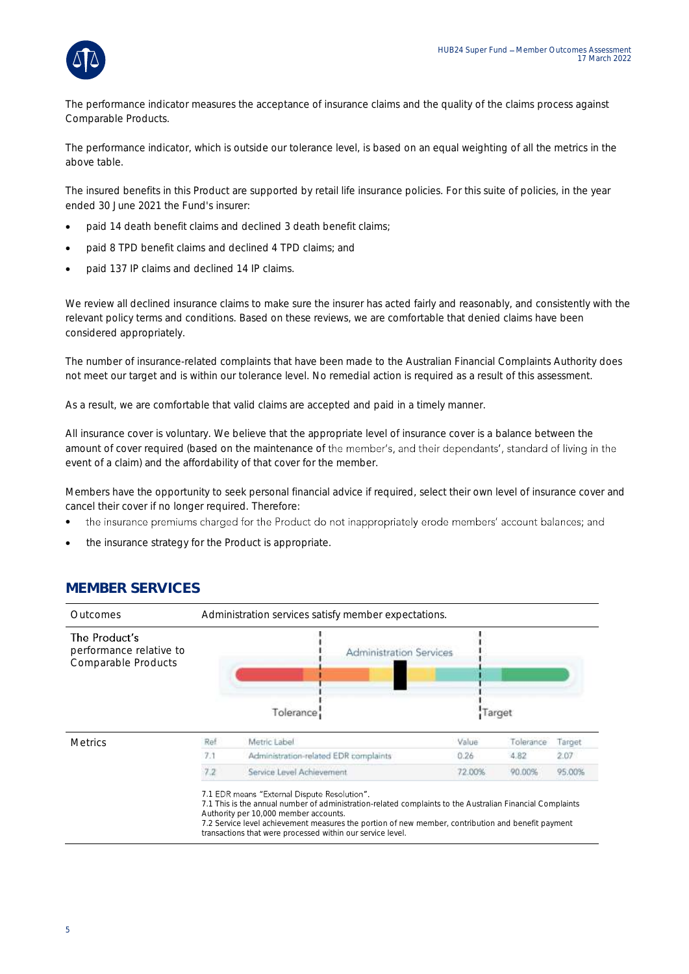

The performance indicator measures the acceptance of insurance claims and the quality of the claims process against Comparable Products.

The performance indicator, which is outside our tolerance level, is based on an equal weighting of all the metrics in the above table.

The insured benefits in this Product are supported by retail life insurance policies. For this suite of policies, in the year ended 30 June 2021 the Fund's insurer:

- paid 14 death benefit claims and declined 3 death benefit claims;
- paid 8 TPD benefit claims and declined 4 TPD claims; and
- paid 137 IP claims and declined 14 IP claims.

We review all declined insurance claims to make sure the insurer has acted fairly and reasonably, and consistently with the relevant policy terms and conditions. Based on these reviews, we are comfortable that denied claims have been considered appropriately.

The number of insurance-related complaints that have been made to the Australian Financial Complaints Authority does not meet our target and is within our tolerance level. No remedial action is required as a result of this assessment.

As a result, we are comfortable that valid claims are accepted and paid in a timely manner.

All insurance cover is voluntary. We believe that the appropriate level of insurance cover is a balance between the amount of cover required (based on the maintenance of the member's, and their dependants', standard of living in the event of a claim) and the affordability of that cover for the member.

Members have the opportunity to seek personal financial advice if required, select their own level of insurance cover and cancel their cover if no longer required. Therefore:

- the insurance premiums charged for the Product do not inappropriately erode members' account balances; and
- the insurance strategy for the Product is appropriate.

#### Outcomes Administration services satisfy member expectations. The Product's performance relative to Administration Services Comparable Products Tolerance Target Ref Metric Label Value Tolerance Target Metrics  $7.1$  $0.26$  $2.07$ Administration-related EDR complaints 4.82  $7.2$ Service Level Achievement 72.00% 90.00% 95.00% 7.1 EDR means "External Dispute Resolution". 7.1 This is the annual number of administration-related complaints to the Australian Financial Complaints Authority per 10,000 member accounts. 7.2 Service level achievement measures the portion of new member, contribution and benefit payment transactions that were processed within our service level.

### **MEMBER SERVICES**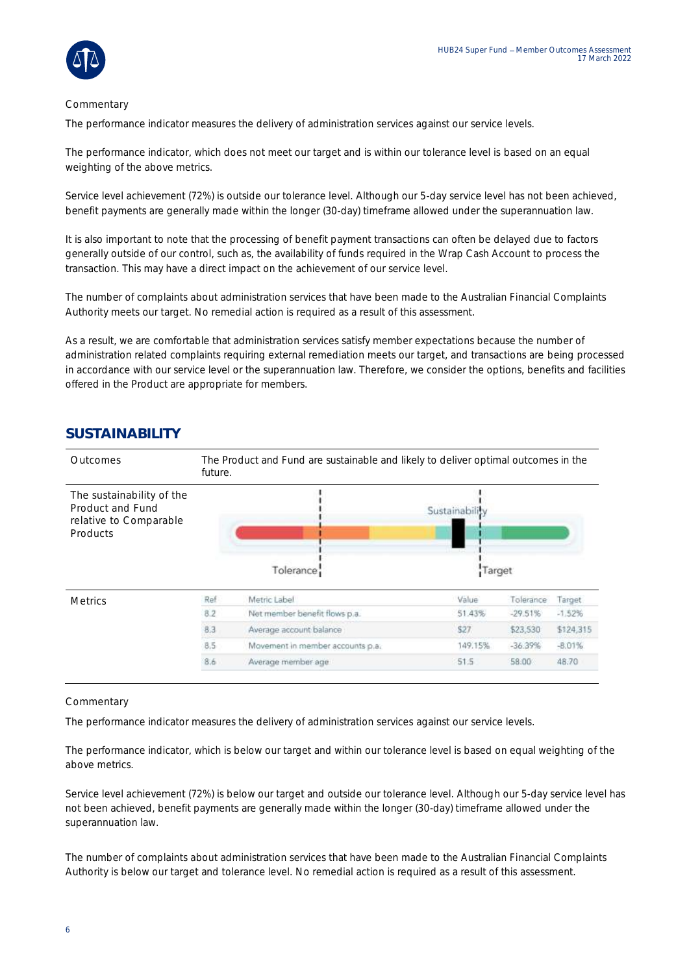

#### **Commentary**

The performance indicator measures the delivery of administration services against our service levels.

The performance indicator, which does not meet our target and is within our tolerance level is based on an equal weighting of the above metrics.

Service level achievement (72%) is outside our tolerance level. Although our 5-day service level has not been achieved, benefit payments are generally made within the longer (30-day) timeframe allowed under the superannuation law.

It is also important to note that the processing of benefit payment transactions can often be delayed due to factors generally outside of our control, such as, the availability of funds required in the Wrap Cash Account to process the transaction. This may have a direct impact on the achievement of our service level.

The number of complaints about administration services that have been made to the Australian Financial Complaints Authority meets our target. No remedial action is required as a result of this assessment.

As a result, we are comfortable that administration services satisfy member expectations because the number of administration related complaints requiring external remediation meets our target, and transactions are being processed in accordance with our service level or the superannuation law. Therefore, we consider the options, benefits and facilities offered in the Product are appropriate for members.



### **SUSTAINABILITY**

#### Commentary

The performance indicator measures the delivery of administration services against our service levels.

The performance indicator, which is below our target and within our tolerance level is based on equal weighting of the above metrics.

Service level achievement (72%) is below our target and outside our tolerance level. Although our 5-day service level has not been achieved, benefit payments are generally made within the longer (30-day) timeframe allowed under the superannuation law.

The number of complaints about administration services that have been made to the Australian Financial Complaints Authority is below our target and tolerance level. No remedial action is required as a result of this assessment.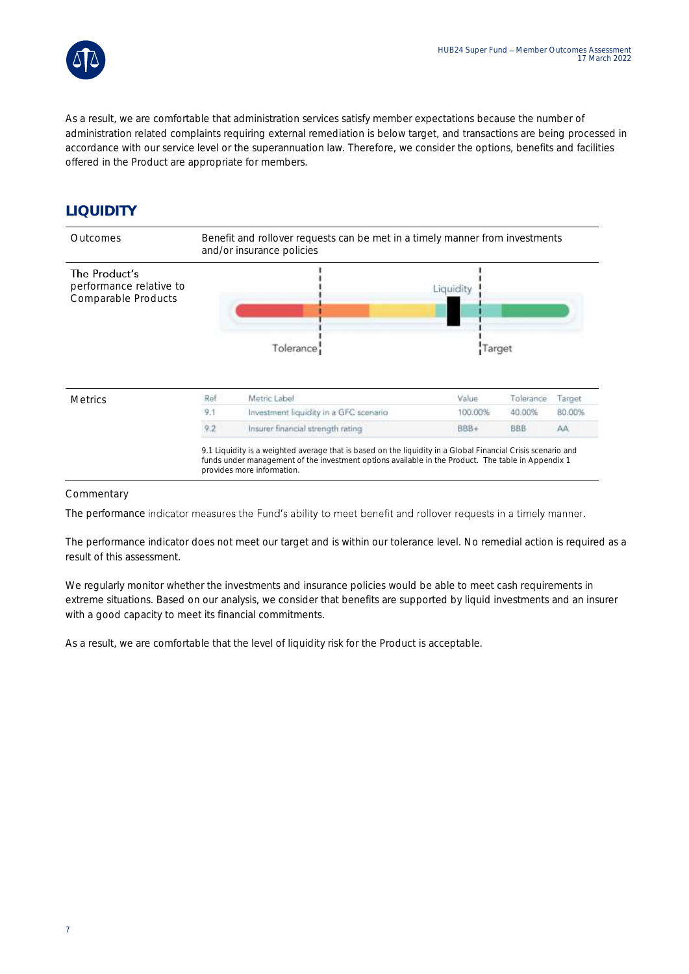



As a result, we are comfortable that administration services satisfy member expectations because the number of administration related complaints requiring external remediation is below target, and transactions are being processed in accordance with our service level or the superannuation law. Therefore, we consider the options, benefits and facilities offered in the Product are appropriate for members.

### **LIQUIDITY**



#### **Commentary**

The performance indicator measures the Fund's ability to meet benefit and rollover requests in a timely manner.

The performance indicator does not meet our target and is within our tolerance level. No remedial action is required as a result of this assessment.

We regularly monitor whether the investments and insurance policies would be able to meet cash requirements in extreme situations. Based on our analysis, we consider that benefits are supported by liquid investments and an insurer with a good capacity to meet its financial commitments.

As a result, we are comfortable that the level of liquidity risk for the Product is acceptable.